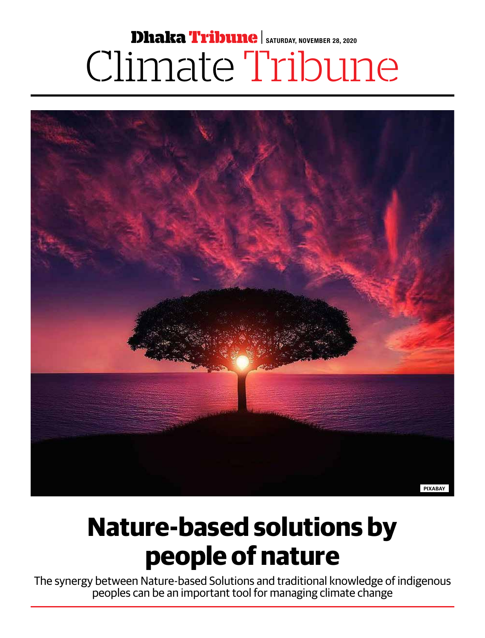## **Dhaka Tribune** | SATURDAY, NOVEMBER 28, 2020 Climate Tribune



## **Nature-based solutions by people of nature**

The synergy between Nature-based Solutions and traditional knowledge of indigenous peoples can be an important tool for managing climate change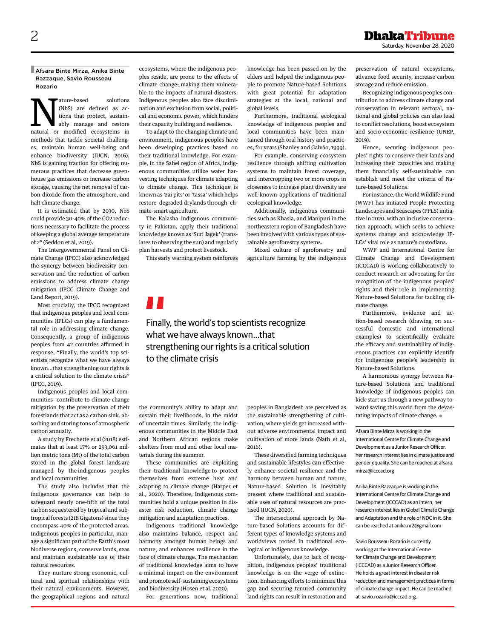### Afsara Binte Mirza, Anika Binte Razzaque, Savio Rousseau Rozario

A ature-based solutions<br>
(NbS) are defined as actions that protect, sustain-<br>
ably manage and restore<br>
natural or modified ecosystems in (NbS) are defined as actions that protect, sustainably manage and restore methods that tackle societal challenges, maintain human well-being and enhance biodiversity (IUCN, 2016). NbS is gaining traction for offering numerous practices that decrease greenhouse gas emissions or increase carbon storage, causing the net removal of carbon dioxide from the atmosphere, and halt climate change.

It is estimated that by 2030, NbS could provide 30-40% of the CO2 reductions necessary to facilitate the process of keeping a global average temperature of 2° (Seddon et al, 2019).

The Intergovernmental Panel on Climate Change (IPCC) also acknowledged the synergy between biodiversity conservation and the reduction of carbon emissions to address climate change mitigation (IPCC Climate Change and Land Report, 2019).

Most crucially, the IPCC recognized that indigenous peoples and local communities (IPLCs) can play a fundamental role in addressing climate change. Consequently, a group of indigenous peoples from 42 countries affirmed in response, "Finally, the world's top scientists recognize what we have always known…that strengthening our rights is a critical solution to the climate crisis" (IPCC, 2019).

Indigenous peoples and local communities contribute to climate change mitigation by the preservation of their forestlands that act as a carbon sink, absorbing and storing tons of atmospheric carbon annually.

A study by Frechette et al (2018) estimates that at least 17% or 293,061 million metric tons (Mt) of the total carbon stored in the global forest lands are managed by the indigenous peoples and local communities.

The study also includes that the indigenous governance can help to safeguard nearly one-fifth of the total carbon sequestered by tropical and subtropical forests (218 Gigatons) since they encompass 40% of the protected areas. Indigenous peoples in particular, manage a significant part of the Earth's most biodiverse regions, conserve lands, seas and maintain sustainable use of their natural resources.

They nurture strong economic, cultural and spiritual relationships with their natural environments. However, the geographical regions and natural

ecosystems, where the indigenous peoples reside, are prone to the effects of climate change; making them vulnerable to the impacts of natural disasters. Indigenous peoples also face discrimination and exclusion from social, political and economic power, which hinders their capacity building and resilience.

To adapt to the changing climate and environment, indigenous peoples have been developing practices based on their traditional knowledge. For example, in the Sahel region of Africa, indigenous communities utilize water harvesting techniques for climate adapting to climate change. This technique is known as 'zai pits' or 'tassa' which helps restore degraded drylands through climate-smart agriculture.

The Kalasha indigenous community in Pakistan, apply their traditional knowledge known as 'Suri Jagek' (translates to observing the sun) and regularly plan harvests and protect livestock.

This early warning system reinforces

knowledge has been passed on by the elders and helped the indigenous people to promote Nature-based Solutions with great potential for adaptation strategies at the local, national and global levels.

Furthermore, traditional ecological knowledge of indigenous peoples and local communities have been maintained through oral history and practices, for years (Shanley and Galváo, 1999).

For example, conserving ecosystem resilience through shifting cultivation systems to maintain forest coverage, and intercropping two or more crops in closeness to increase plant diversity are well-known applications of traditional ecological knowledge.

Additionally, indigenous communities such as Khasia, and Manipuri in the northeastern region of Bangladesh have been involved with various types of sustainable agroforestry systems.

Mixed culture of agroforestry and agriculture farming by the indigenous

Finally, the world's top scientists recognize what we have always known…that strengthening our rights is a critical solution to the climate crisis

the community's ability to adapt and sustain their livelihoods, in the midst of uncertain times. Similarly, the indigenous communities in the Middle East and Northern African regions make shelters from mud and other local materials during the summer.

These communities are exploiting their traditional knowledge to protect themselves from extreme heat and adapting to climate change (Harper et al., 2020). Therefore, Indigenous communities hold a unique position in disaster risk reduction, climate change mitigation and adaptation practices.

Indigenous traditional knowledge also maintains balance, respect and harmony amongst human beings and nature, and enhances resilience in the face of climate change. The mechanism of traditional knowledge aims to have a minimal impact on the environment and promote self-sustaining ecosystems and biodiversity (Hosen et al, 2020).

For generations now, traditional

peoples in Bangladesh are perceived as the sustainable strengthening of cultivation, where yields get increased without adverse environmental impact and cultivation of more lands (Nath et al, 2016).

These diversified farming techniques and sustainable lifestyles can effectively enhance societal resilience and the harmony between human and nature. Nature-based Solution is inevitably present where traditional and sustainable uses of natural resources are practised (IUCN, 2020).

The intersectional approach by Nature-based Solutions accounts for different types of knowledge systems and worldviews rooted in traditional ecological or indigenous knowledge.

Unfortunately, due to lack of recognition, indigenous peoples' traditional knowledge is on the verge of extinction. Enhancing efforts to minimize this gap and securing tenured community land rights can result in restoration and preservation of natural ecosystems, advance food security, increase carbon storage and reduce emission.

Recognizing indigenous peoples contribution to address climate change and conservation in relevant sectoral, national and global policies can also lead to conflict resolutions, boost ecosystem and socio-economic resilience (UNEP, 2019).

Hence, securing indigenous peoples' rights to conserve their lands and increasing their capacities and making them financially self-sustainable can establish and meet the criteria of Nature-based Solutions.

For instance, the World Wildlife Fund (WWF) has initiated People Protecting Landscapes and Seascapes (PPLS) initiative in 2020, with an inclusive conservation approach, which seeks to achieve systems change and acknowledge IP-LCs' vital role as nature's custodians.

WWF and International Centre for Climate Change and Development (ICCCAD) is working collaboratively to conduct research on advocating for the recognition of the indigenous peoples' rights and their role in implementing Nature-based Solutions for tackling climate change.

Furthermore, evidence and action-based research (drawing on successful domestic and international examples) to scientifically evaluate the efficacy and sustainability of indigenous practices can explicitly identify for indigenous people's leadership in Nature-based Solutions.

A harmonious synergy between Nature-based Solutions and traditional knowledge of indigenous peoples can kick-start us through a new pathway toward saving this world from the devastating impacts of climate change.  $\bullet$ 

Afsara Binte Mirza is working in the International Centre for Climate Change and Development as a Junior Research Officer, her research interest lies in climate justice and gender equality. She can be reached at afsara. mirza@icccad.org

Anika Binte Razzaque is working in the International Centre for Climate Change and Development (ICCCAD) as an intern, her research interest lies in Global Climate Change and Adaptation and the role of NDC in it. She can be reached at anika.nr2@gmail.com

Savio Rousseau Rozario is currently working at the International Centre for Climate Change and Development (ICCCAD) as a Junior Research Officer. He holds a great interest in disaster risk reduction and management practices in terms of climate change impact. He can be reached at savio.rozario@icccad.org.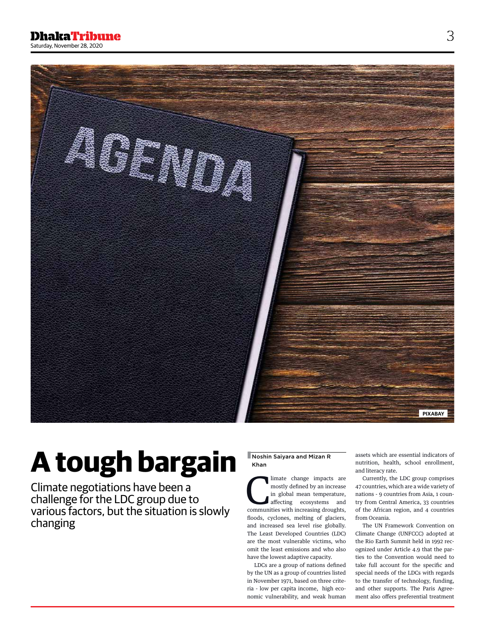### DhakaTribune

Saturday, November 28, 2020



# **A tough bargain**

Climate negotiations have been a challenge for the LDC group due to various factors, but the situation is slowly changing

**Noshin Saiyara and Mizan R** Khan

limate change impacts are<br>mostly defined by an increase<br>in global mean temperature,<br>affecting ecosystems and<br>communities with increasing droughts mostly defined by an increase in global mean temperature, affecting ecosystems and communities with increasing droughts, floods, cyclones, melting of glaciers, and increased sea level rise globally. The Least Developed Countries (LDC) are the most vulnerable victims, who omit the least emissions and who also have the lowest adaptive capacity.

LDCs are a group of nations defined by the UN as a group of countries listed in November 1971, based on three criteria - low per capita income, high economic vulnerability, and weak human

assets which are essential indicators of nutrition, health, school enrollment, and literacy rate.

Currently, the LDC group comprises 47 countries, which are a wide variety of nations - 9 countries from Asia, 1 country from Central America, 33 countries of the African region, and 4 countries from Oceania.

The UN Framework Convention on Climate Change (UNFCCC) adopted at the Rio Earth Summit held in 1992 recognized under Article 4.9 that the parties to the Convention would need to take full account for the specific and special needs of the LDCs with regards to the transfer of technology, funding, and other supports. The Paris Agreement also offers preferential treatment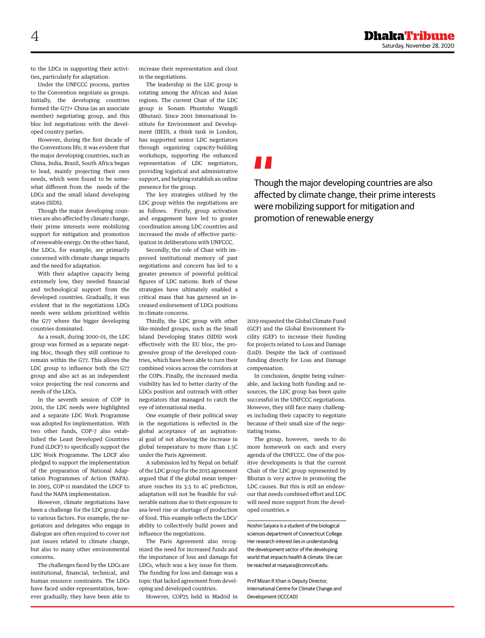to the LDCs in supporting their activities, particularly for adaptation.

Under the UNFCCC process, parties to the Convention negotiate as groups. Initially, the developing countries formed the G77+ China (as an associate member) negotiating group, and this bloc led negotiations with the developed country parties.

However, during the first decade of the Conventions life, it was evident that the major developing countries, such as China, India, Brazil, South Africa began to lead, mainly projecting their own needs, which were found to be somewhat different from the needs of the LDCs and the small island developing states (SIDS).

Though the major developing countries are also affected by climate change, their prime interests were mobilizing support for mitigation and promotion of renewable energy. On the other hand, the LDCs, for example, are primarily concerned with climate change impacts and the need for adaptation.

With their adaptive capacity being extremely low, they needed financial and technological support from the developed countries. Gradually, it was evident that in the negotiations LDCs needs were seldom prioritized within the G77 where the bigger developing countries dominated.

As a result, during 2000-01, the LDC group was formed as a separate negating bloc, though they still continue to remain within the G77. This allows the LDC group to influence both the G77 group and also act as an independent voice projecting the real concerns and needs of the LDCs.

In the seventh session of COP in 2001, the LDC needs were highlighted and a separate LDC Work Programme was adopted for implementation. With two other funds, COP-7 also established the Least Developed Countries Fund (LDCF) to specifically support the LDC Work Programme. The LDCF also pledged to support the implementation of the preparation of National Adaptation Programmes of Action (NAPA). In 2005, COP-11 mandated the LDCF to fund the NAPA implementation.

However, climate negotiations have been a challenge for the LDC group due to various factors. For example, the negotiators and delegates who engage in dialogue are often required to cover not just issues related to climate change, but also to many other environmental concerns.

The challenges faced by the LDCs are institutional, financial, technical, and human resource constraints. The LDCs have faced under-representation, however gradually, they have been able to increase their representation and clout in the negotiations.

The leadership in the LDC group is rotating among the African and Asian regions. The current Chair of the LDC group is Sonam Phuntsho Wangdi (Bhutan). Since 2001 International Institute for Environment and Development (IIED), a think tank in London, has supported senior LDC negotiators through organizing capacity-building workshops, supporting the enhanced representation of LDC negotiators, providing logistical and administrative support, and helping establish an online presence for the group.

The key strategies utilised by the LDC group within the negotiations are as follows. Firstly, group activation and engagement have led to greater coordination among LDC countries and increased the mode of effective participation in deliberations with UNFCCC.

Secondly, the role of Chair with improved institutional memory of past negotiations and concern has led to a greater presence of powerful political figures of LDC nations. Both of these strategies have ultimately enabled a critical mass that has garnered an increased endorsement of LDCs positions in climate concerns.

Thirdly, the LDC group with other like-minded groups, such as the Small Island Developing States (SIDS) work effectively with the EU bloc, the progressive group of the developed countries, which have been able to turn their combined voices across the corridors at the COPs. Finally, the increased media visibility has led to better clarity of the LDCs position and outreach with other negotiators that managed to catch the eye of international media.

One example of their political sway in the negotiations is reflected in the global acceptance of an aspirational goal of not allowing the increase in global temperature to more than 1.5C under the Paris Agreement.

A submission led by Nepal on behalf of the LDC group for the 2015 agreement argued that if the global mean temperature reaches its 3.5 to 4C prediction, adaptation will not be feasible for vulnerable nations due to their exposure to sea-level rise or shortage of production of food. This example reflects the LDCs' ability to collectively build power and influence the negotiations.

The Paris Agreement also recognized the need for increased funds and the importance of loss and damage for LDCs, which was a key issue for them. The funding for loss and damage was a topic that lacked agreement from developing and developed countries.

However, COP25 held in Madrid in

Though the major developing countries are also affected by climate change, their prime interests were mobilizing support for mitigation and promotion of renewable energy

2019 requested the Global Climate Fund (GCF) and the Global Environment Facility (GEF) to increase their funding for projects related to Loss and Damage (LnD). Despite the lack of continued funding directly for Loss and Damage compensation.

In conclusion, despite being vulnerable, and lacking both funding and resources, the LDC group has been quite successful in the UNFCCC negotiations. However, they still face many challenges including their capacity to negotiate because of their small size of the negotiating teams.

The group, however, needs to do more homework on each and every agenda of the UNFCCC. One of the positive developments is that the current Chair of the LDC group represented by Bhutan is very active in promoting the LDC causes. But this is still an endeavour that needs combined effort and LDC will need more support from the developed countries.

Noshin Saiyara is a student of the biological sciences department of Connecticut College. Her research interest lies in understanding the development sector of the developing world that impacts health & climate. She can be reached at nsaiyara@conncoll.edu.

Prof Mizan R Khan is Deputy Director, International Centre for Climate Change and Development (ICCCAD)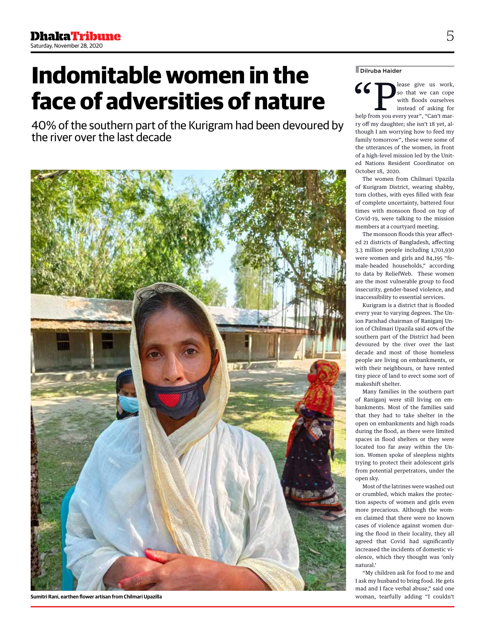## **Indomitable women in the face of adversities of nature**

40% of the southern part of the Kurigram had been devoured by the river over the last decade



**Sumitri Rani, earthen flower artisan from Chilmari Upazilla**

### Dilruba Haider

**66** Blease give us work, so that we can cope with floods ourselves instead of asking for help from you every year", "Can't marso that we can cope with floods ourselves instead of asking for

ry off my daughter; she isn't 18 yet, although I am worrying how to feed my family tomorrow", these were some of the utterances of the women, in front of a high-level mission led by the United Nations Resident Coordinator on October 18, 2020.

The women from Chilmari Upazila of Kurigram District, wearing shabby, torn clothes, with eyes filled with fear of complete uncertainty, battered four times with monsoon flood on top of Covid-19, were talking to the mission members at a courtyard meeting.

The monsoon floods this year affected 21 districts of Bangladesh, affecting 3.3 million people including 1,701,930 were women and girls and 84,195 "female-headed households," according to data by ReliefWeb. These women are the most vulnerable group to food insecurity, gender-based violence, and inaccessibility to essential services.

Kurigram is a district that is flooded every year to varying degrees. The Union Parishad chairman of Raniganj Union of Chilmari Upazila said 40% of the southern part of the District had been devoured by the river over the last decade and most of those homeless people are living on embankments, or with their neighbours, or have rented tiny piece of land to erect some sort of makeshift shelter.

Many families in the southern part of Raniganj were still living on embankments. Most of the families said that they had to take shelter in the open on embankments and high roads during the flood, as there were limited spaces in flood shelters or they were located too far away within the Union. Women spoke of sleepless nights trying to protect their adolescent girls from potential perpetrators, under the open sky.

Most of the latrines were washed out or crumbled, which makes the protection aspects of women and girls even more precarious. Although the women claimed that there were no known cases of violence against women during the flood in their locality, they all agreed that Covid had significantly increased the incidents of domestic violence, which they thought was 'only natural.'

"My children ask for food to me and I ask my husband to bring food. He gets mad and I face verbal abuse," said one woman, tearfully adding "I couldn't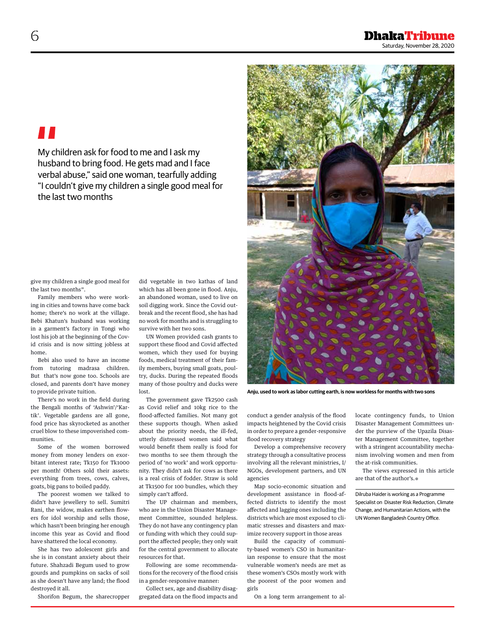### Dhaka'I'ribune Saturday, November 28, 2020

### **TIL**

My children ask for food to me and I ask my husband to bring food. He gets mad and I face verbal abuse," said one woman, tearfully adding "I couldn't give my children a single good meal for the last two months

give my children a single good meal for the last two months".

Family members who were working in cities and towns have come back home; there's no work at the village. Bebi Khatun's husband was working in a garment's factory in Tongi who lost his job at the beginning of the Covid crisis and is now sitting jobless at home.

Bebi also used to have an income from tutoring madrasa children. But that's now gone too. Schools are closed, and parents don't have money to provide private tuition.

There's no work in the field during the Bengali months of 'Ashwin'/'Kartik'. Vegetable gardens are all gone, food price has skyrocketed as another cruel blow to these impoverished communities.

Some of the women borrowed money from money lenders on exorbitant interest rate; Tk150 for Tk1000 per month! Others sold their assets: everything from trees, cows, calves, goats, big pans to boiled paddy.

The poorest women we talked to didn't have jewellery to sell. Sumitri Rani, the widow, makes earthen flowers for idol worship and sells those, which hasn't been bringing her enough income this year as Covid and flood have shattered the local economy.

She has two adolescent girls and she is in constant anxiety about their future. Shahzadi Begum used to grow gourds and pumpkins on sacks of soil as she doesn't have any land; the flood destroyed it all.

Shorifon Begum, the sharecropper

did vegetable in two kathas of land which has all been gone in flood. Anju, an abandoned woman, used to live on soil digging work. Since the Covid outbreak and the recent flood, she has had no work for months and is struggling to survive with her two sons.

UN Women provided cash grants to support these flood and Covid affected women, which they used for buying foods, medical treatment of their family members, buying small goats, poultry, ducks. During the repeated floods many of those poultry and ducks were lost.

The government gave Tk2500 cash as Covid relief and 10kg rice to the flood-affected families. Not many got these supports though. When asked about the priority needs, the ill-fed, utterly distressed women said what would benefit them really is food for two months to see them through the period of 'no work' and work opportunity. They didn't ask for cows as there is a real crisis of fodder. Straw is sold at Tk1500 for 100 bundles, which they simply can't afford.

The UP chairman and members, who are in the Union Disaster Management Committee, sounded helpless. They do not have any contingency plan or funding with which they could support the affected people; they only wait for the central government to allocate resources for that.

Following are some recommendations for the recovery of the flood crisis in a gender-responsive manner:

Collect sex, age and disability disaggregated data on the flood impacts and



**Anju, used to work as labor cutting earth, is now workless for months with two sons**

conduct a gender analysis of the flood impacts heightened by the Covid crisis in order to prepare a gender-responsive flood recovery strategy

Develop a comprehensive recovery strategy through a consultative process involving all the relevant ministries, I/ NGOs, development partners, and UN agencies

Map socio-economic situation and development assistance in flood-affected districts to identify the most affected and lagging ones including the districts which are most exposed to climatic stresses and disasters and maximize recovery support in those areas

Build the capacity of community-based women's CSO in humanitarian response to ensure that the most vulnerable women's needs are met as these women's CSOs mostly work with the poorest of the poor women and girls

On a long term arrangement to al-

locate contingency funds, to Union Disaster Management Committees under the purview of the Upazila Disaster Management Committee, together with a stringent accountability mechanism involving women and men from the at-risk communities.

The views expressed in this article are that of the author's.

Dilruba Haider is working as a Programme Specialist on Disaster Risk Reduction, Climate Change, and Humanitarian Actions, with the UN Women Bangladesh Country Office.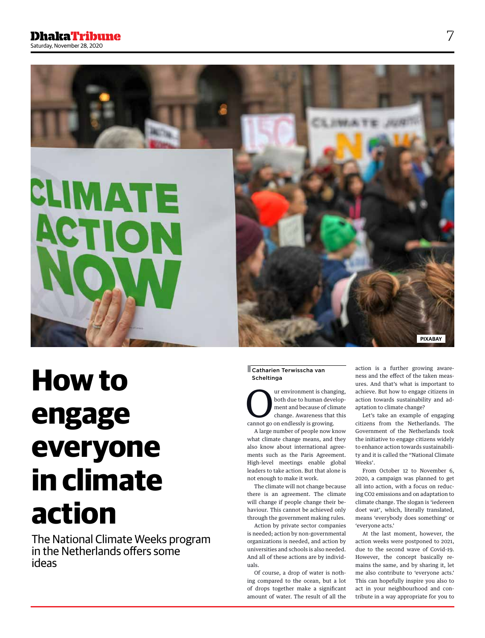

# **How to engage everyone in climate action**

The National Climate Weeks program in the Netherlands offers some ideas

### Catharien Terwisscha van **Scheltinga**

The part of the total and the standard development and because of climate<br>thange. Awareness that this<br>cannot go on endlessly is growing both due to human development and because of climate change. Awareness that this cannot go on endlessly is growing.

A large number of people now know what climate change means, and they also know about international agreements such as the Paris Agreement. High-level meetings enable global leaders to take action. But that alone is not enough to make it work.

The climate will not change because there is an agreement. The climate will change if people change their behaviour. This cannot be achieved only through the government making rules.

Action by private sector companies is needed; action by non-governmental organizations is needed, and action by universities and schools is also needed. And all of these actions are by individuals.

Of course, a drop of water is nothing compared to the ocean, but a lot of drops together make a significant amount of water. The result of all the

action is a further growing awareness and the effect of the taken measures. And that's what is important to achieve. But how to engage citizens in action towards sustainability and adaptation to climate change?

Let's take an example of engaging citizens from the Netherlands. The Government of the Netherlands took the initiative to engage citizens widely to enhance action towards sustainability and it is called the "National Climate Weeks'.

From October 12 to November 6, 2020, a campaign was planned to get all into action, with a focus on reducing CO2 emissions and on adaptation to climate change. The slogan is 'iedereen doet wat', which, literally translated, means 'everybody does something' or 'everyone acts.'

At the last moment, however, the action weeks were postponed to 2021, due to the second wave of Covid-19. However, the concept basically remains the same, and by sharing it, let me also contribute to 'everyone acts.' This can hopefully inspire you also to act in your neighbourhood and contribute in a way appropriate for you to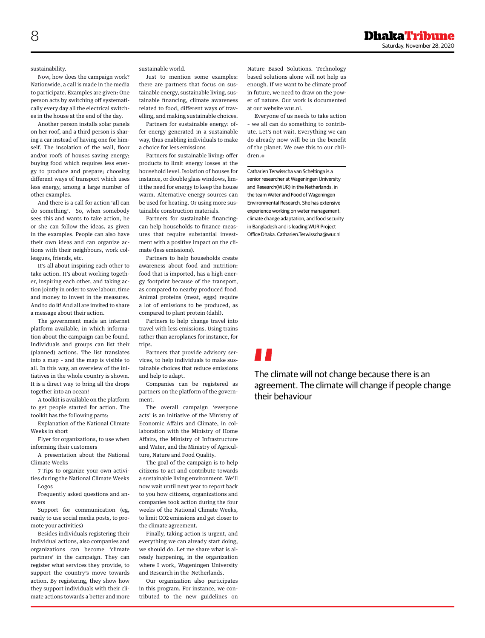sustainability.

Now, how does the campaign work? Nationwide, a call is made in the media to participate. Examples are given: One person acts by switching off systematically every day all the electrical switches in the house at the end of the day.

Another person installs solar panels on her roof, and a third person is sharing a car instead of having one for himself. The insolation of the wall, floor and/or roofs of houses saving energy; buying food which requires less energy to produce and prepare; choosing different ways of transport which uses less energy, among a large number of other examples.

And there is a call for action 'all can do something'. So, when somebody sees this and wants to take action, he or she can follow the ideas, as given in the examples. People can also have their own ideas and can organize actions with their neighbours, work colleagues, friends, etc.

It's all about inspiring each other to take action. It's about working together, inspiring each other, and taking action jointly in order to save labour, time and money to invest in the measures. And to do it! And all are invited to share a message about their action.

The government made an internet platform available, in which information about the campaign can be found. Individuals and groups can list their (planned) actions. The list translates into a map – and the map is visible to all. In this way, an overview of the initiatives in the whole country is shown. It is a direct way to bring all the drops together into an ocean!

A toolkit is available on the platform to get people started for action. The toolkit has the following parts:

Explanation of the National Climate Weeks in short

Flyer for organizations, to use when informing their customers

A presentation about the National Climate Weeks

7 Tips to organize your own activities during the National Climate Weeks

Logos Frequently asked questions and answers

Support for communication (eg, ready to use social media posts, to promote your activities)

Besides individuals registering their individual actions, also companies and organizations can become 'climate partners' in the campaign. They can register what services they provide, to support the country's move towards action. By registering, they show how they support individuals with their climate actions towards a better and more

sustainable world.

Just to mention some examples: there are partners that focus on sustainable energy, sustainable living, sustainable financing, climate awareness related to food, different ways of travelling, and making sustainable choices.

Partners for sustainable energy: offer energy generated in a sustainable way, thus enabling individuals to make a choice for less emissions

Partners for sustainable living: offer products to limit energy losses at the household level. Isolation of houses for instance, or double glass windows, limit the need for energy to keep the house warm. Alternative energy sources can be used for heating. Or using more sustainable construction materials.

Partners for sustainable financing: can help households to finance measures that require substantial investment with a positive impact on the climate (less emissions).

Partners to help households create awareness about food and nutrition: food that is imported, has a high energy footprint because of the transport, as compared to nearby produced food. Animal proteins (meat, eggs) require a lot of emissions to be produced, as compared to plant protein (dahl).

Partners to help change travel into travel with less emissions. Using trains rather than aeroplanes for instance, for trips.

Partners that provide advisory services, to help individuals to make sustainable choices that reduce emissions and help to adapt.

Companies can be registered as partners on the platform of the government.

The overall campaign 'everyone acts' is an initiative of the Ministry of Economic Affairs and Climate, in collaboration with the Ministry of Home Affairs, the Ministry of Infrastructure and Water, and the Ministry of Agriculture, Nature and Food Quality.

The goal of the campaign is to help citizens to act and contribute towards a sustainable living environment. We'll now wait until next year to report back to you how citizens, organizations and companies took action during the four weeks of the National Climate Weeks, to limit CO2 emissions and get closer to the climate agreement.

Finally, taking action is urgent, and everything we can already start doing, we should do. Let me share what is already happening, in the organization where I work, Wageningen University and Research in the Netherlands.

Our organization also participates in this program. For instance, we contributed to the new guidelines on

Nature Based Solutions. Technology based solutions alone will not help us enough. If we want to be climate proof in future, we need to draw on the power of nature. Our work is documented at our website wur.nl.

Everyone of us needs to take action – we all can do something to contribute. Let's not wait. Everything we can do already now will be in the benefit of the planet. We owe this to our chil $dren.$ 

Catharien Terwisscha van Scheltinga is a senior researcher at Wageningen University and Research(WUR) in the Netherlands, in the team Water and Food of Wageningen Environmental Research. She has extensive experience working on water management, climate change adaptation, and food security in Bangladesh and is leading WUR Project Office Dhaka. Catharien.Terwisscha@wur.nl

The climate will not change because there is an agreement. The climate will change if people change their behaviour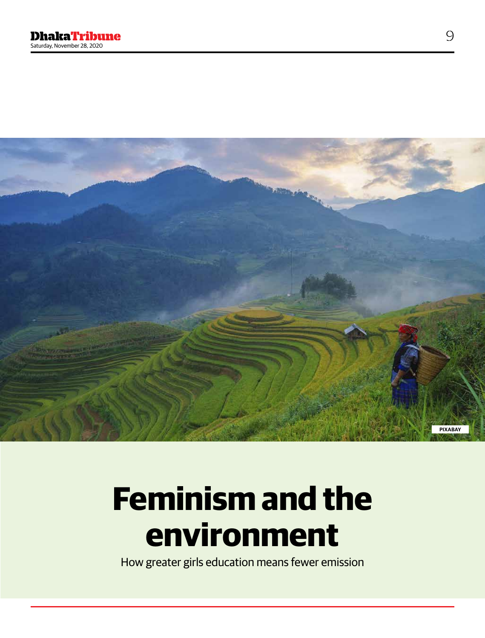

# **Feminism and the environment**

How greater girls education means fewer emission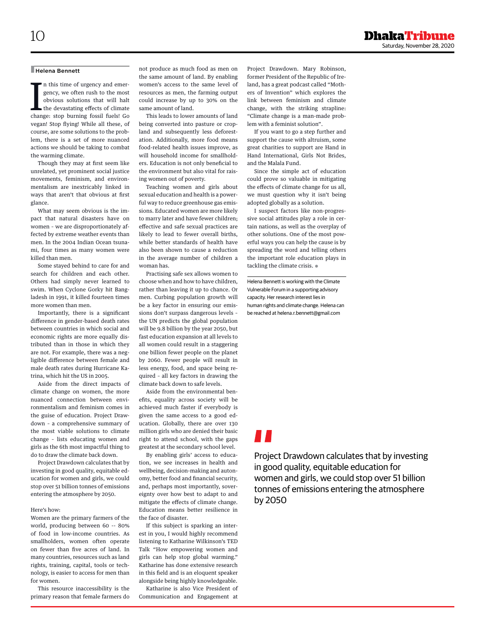### Helena Bennett

In this time of urgency and emergency, we often rush to the most obvious solutions that will halt the devastating effects of climate change: stop burning fossil fuels! Go n this time of urgency and emergency, we often rush to the most obvious solutions that will halt the devastating effects of climate vegan! Stop flying! While all these, of course, are some solutions to the problem, there is a set of more nuanced actions we should be taking to combat the warming climate.

Though they may at first seem like unrelated, yet prominent social justice movements, feminism, and environmentalism are inextricably linked in ways that aren't that obvious at first glance.

What may seem obvious is the impact that natural disasters have on women – we are disproportionately affected by extreme weather events than men. In the 2004 Indian Ocean tsunami, four times as many women were killed than men.

Some stayed behind to care for and search for children and each other. Others had simply never learned to swim. When Cyclone Gorky hit Bangladesh in 1991, it killed fourteen times more women than men.

Importantly, there is a significant difference in gender-based death rates between countries in which social and economic rights are more equally distributed than in those in which they are not. For example, there was a negligible difference between female and male death rates during Hurricane Katrina, which hit the US in 2005.

Aside from the direct impacts of climate change on women, the more nuanced connection between environmentalism and feminism comes in the guise of education. Project Drawdown – a comprehensive summary of the most viable solutions to climate change – lists educating women and girls as the 6th most impactful thing to do to draw the climate back down.

Project Drawdown calculates that by investing in good quality, equitable education for women and girls, we could stop over 51 billion tonnes of emissions entering the atmosphere by 2050.

### Here's how:

Women are the primary farmers of the world, producing between 60 -- 80% of food in low-income countries. As smallholders, women often operate on fewer than five acres of land. In many countries, resources such as land rights, training, capital, tools or technology, is easier to access for men than for women.

This resource inaccessibility is the primary reason that female farmers do

not produce as much food as men on the same amount of land. By enabling women's access to the same level of resources as men, the farming output could increase by up to 30% on the same amount of land.

This leads to lower amounts of land being converted into pasture or cropland and subsequently less deforestation. Additionally, more food means food-related health issues improve, as will household income for smallholders. Education is not only beneficial to the environment but also vital for raising women out of poverty.

Teaching women and girls about sexual education and health is a powerful way to reduce greenhouse gas emissions. Educated women are more likely to marry later and have fewer children; effective and safe sexual practices are likely to lead to fewer overall births, while better standards of health have also been shown to cause a reduction in the average number of children a woman has.

Practising safe sex allows women to choose when and how to have children, rather than leaving it up to chance. Or men. Curbing population growth will be a key factor in ensuring our emissions don't surpass dangerous levels – the UN predicts the global population will be 9.8 billion by the year 2050, but fast education expansion at all levels to all women could result in a staggering one billion fewer people on the planet by 2060. Fewer people will result in less energy, food, and space being required – all key factors in drawing the climate back down to safe levels.

Aside from the environmental benefits, equality across society will be achieved much faster if everybody is given the same access to a good education. Globally, there are over 130 million girls who are denied their basic right to attend school, with the gaps greatest at the secondary school level.

By enabling girls' access to education, we see increases in health and wellbeing, decision-making and autonomy, better food and financial security, and, perhaps most importantly, sovereignty over how best to adapt to and mitigate the effects of climate change. Education means better resilience in the face of disaster.

If this subject is sparking an interest in you, I would highly recommend listening to Katharine Wilkinson's TED Talk "How empowering women and girls can help stop global warming." Katharine has done extensive research in this field and is an eloquent speaker alongside being highly knowledgeable. Katharine is also Vice President of

Communication and Engagement at

Project Drawdown. Mary Robinson, former President of the Republic of Ireland, has a great podcast called "Mothers of Invention" which explores the link between feminism and climate change, with the striking strapline: "Climate change is a man-made problem with a feminist solution".

If you want to go a step further and support the cause with altruism, some great charities to support are Hand in Hand International, Girls Not Brides, and the Malala Fund.

Since the simple act of education could prove so valuable in mitigating the effects of climate change for us all, we must question why it isn't being adopted globally as a solution.

I suspect factors like non-progressive social attitudes play a role in certain nations, as well as the overplay of other solutions. One of the most powerful ways you can help the cause is by spreading the word and telling others the important role education plays in tackling the climate crisis.  $\bullet$ 

Helena Bennett is working with the Climate Vulnerable Forum in a supporting advisory capacity. Her research interest lies in human rights and climate change. Helena can be reached at helena.r.bennett@gmail.com

Project Drawdown calculates that by investing in good quality, equitable education for women and girls, we could stop over 51 billion tonnes of emissions entering the atmosphere by 2050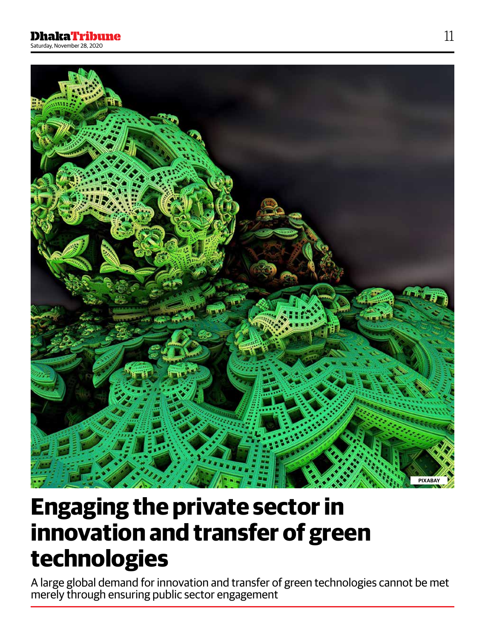## DhakaTribune

Saturday, November 28, 2020



## **Engaging the private sector in innovation and transfer of green technologies**

A large global demand for innovation and transfer of green technologies cannot be met merely through ensuring public sector engagement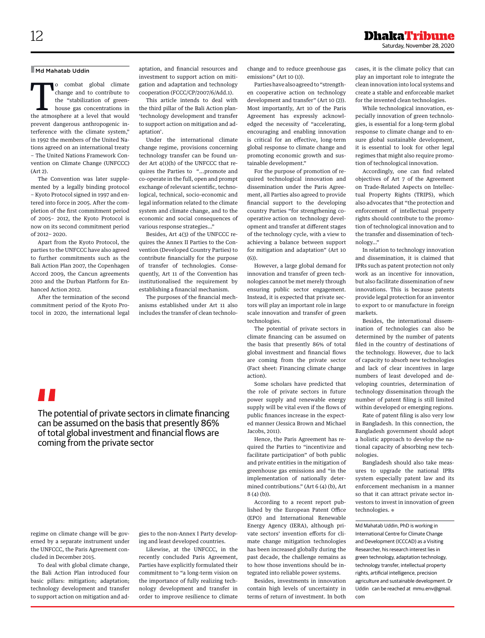### Md Mahatab Uddin

**Example 25 combat global climate**<br>thange and to contribute to<br>the "stabilization of green-<br>house gas concentrations in<br>the atmosphere at a level that would change and to contribute to the "stabilization of greenhouse gas concentrations in the atmosphere at a level that would prevent dangerous anthropogenic interference with the climate system," in 1992 the members of the United Nations agreed on an international treaty − The United Nations Framework Convention on Climate Change (UNFCCC) (Art 2).

The Convention was later supplemented by a legally binding protocol − Kyoto Protocol signed in 1997 and entered into force in 2005. After the completion of the first commitment period of 2005− 2012, the Kyoto Protocol is now on its second commitment period of 2012− 2020.

Apart from the Kyoto Protocol, the parties to the UNFCCC have also agreed to further commitments such as the Bali Action Plan 2007, the Copenhagen Accord 2009, the Cancun agreements 2010 and the Durban Platform for Enhanced Action 2012.

After the termination of the second commitment period of the Kyoto Protocol in 2020, the international legal

aptation, and financial resources and investment to support action on mitigation and adaptation and technology cooperation (FCCC/CP/2007/6/Add.1).

This article intends to deal with the third pillar of the Bali Action plan- 'technology development and transfer to support action on mitigation and adaptation'.

Under the international climate change regime, provisions concerning technology transfer can be found under Art 4(1)(h) of the UNFCCC that requires the Parties to "...promote and co-operate in the full, open and prompt exchange of relevant scientific, technological, technical, socio-economic and legal information related to the climate system and climate change, and to the economic and social consequences of various response strategies…"

Besides, Art 4(3) of the UNFCCC requires the Annex II Parties to the Convention (Developed Country Parties) to contribute financially for the purpose of transfer of technologies. Consequently, Art 11 of the Convention has institutionalised the requirement by establishing a financial mechanism.

The purposes of the financial mechanisms established under Art 11 also includes the transfer of clean technolo-

The potential of private sectors in climate financing can be assumed on the basis that presently 86% of total global investment and financial flows are coming from the private sector

regime on climate change will be governed by a separate instrument under the UNFCCC, the Paris Agreement concluded in December 2015.

To deal with global climate change, the Bali Action Plan introduced four basic pillars: mitigation; adaptation; technology development and transfer to support action on mitigation and ad-

gies to the non-Annex I Party developing and least developed countries.

Likewise, at the UNFCCC, in the recently concluded Paris Agreement, Parties have explicitly formulated their commitment to "a long-term vision on the importance of fully realizing technology development and transfer in order to improve resilience to climate

change and to reduce greenhouse gas emissions" (Art 10 (1)).

Parties have also agreed to "strengthen cooperative action on technology development and transfer" (Art 10 (2)). Most importantly, Art 10 of the Paris Agreement has expressly acknowledged the necessity of "accelerating, encouraging and enabling innovation is critical for an effective, long-term global response to climate change and promoting economic growth and sustainable development."

For the purpose of promotion of required technological innovation and dissemination under the Paris Agreement, all Parties also agreed to provide financial support to the developing country Parties "for strengthening cooperative action on technology development and transfer at different stages of the technology cycle, with a view to achieving a balance between support for mitigation and adaptation" (Art 10 (6)).

However, a large global demand for innovation and transfer of green technologies cannot be met merely through ensuring public sector engagement. Instead, it is expected that private sectors will play an important role in large scale innovation and transfer of green technologies.

The potential of private sectors in climate financing can be assumed on the basis that presently 86% of total global investment and financial flows are coming from the private sector (Fact sheet: Financing climate change action).

Some scholars have predicted that the role of private sectors in future power supply and renewable energy supply will be vital even if the flows of public finances increase in the expected manner (Jessica Brown and Michael Jacobs, 2011).

Hence, the Paris Agreement has required the Parties to "incentivize and facilitate participation" of both public and private entities in the mitigation of greenhouse gas emissions and "in the implementation of nationally determined contributions." (Art 6 (4) (b), Art 8 (4) (b)).

According to a recent report published by the European Patent Office (EPO) and International Renewable Energy Agency (IERA), although private sectors' invention efforts for climate change mitigation technologies has been increased globally during the past decade, the challenge remains as to how those inventions should be integrated into reliable power systems.

Besides, investments in innovation contain high levels of uncertainty in terms of return of investment. In both

cases, it is the climate policy that can play an important role to integrate the clean innovation into local systems and create a stable and enforceable market for the invented clean technologies.

While technological innovation, especially innovation of green technologies, is essential for a long-term global response to climate change and to ensure global sustainable development, it is essential to look for other legal regimes that might also require promotion of technological innovation.

Accordingly, one can find related objectives of Art 7 of the Agreement on Trade-Related Aspects on Intellectual Property Rights (TRIPS), which also advocates that "the protection and enforcement of intellectual property rights should contribute to the promotion of technological innovation and to the transfer and dissemination of technology…"

In relation to technology innovation and dissemination, it is claimed that IPRs such as patent protection not only work as an incentive for innovation, but also facilitate dissemination of new innovations. This is because patents provide legal protection for an inventor to export to or manufacture in foreign markets.

Besides, the international dissemination of technologies can also be determined by the number of patents filed in the country of destinations of the technology. However, due to lack of capacity to absorb new technologies and lack of clear incentives in large numbers of least developed and developing countries, determination of technology dissemination through the number of patent filing is still limited within developed or emerging regions.

Rate of patent filing is also very low in Bangladesh. In this connection, the Bangladesh government should adopt a holistic approach to develop the national capacity of absorbing new technologies.

Bangladesh should also take measures to upgrade the national IPRs system especially patent law and its enforcement mechanism in a manner so that it can attract private sector investors to invest in innovation of green technologies.  $\bullet$ 

Md Mahatab Uddin, PhD is working in International Centre for Climate Change and Development (ICCCAD) as a Visiting Researcher, his research interest lies in green technology, adaptation technology, technology transfer, intellectual property rights, artificial intelligence, precision agriculture and sustainable development. Dr Uddin can be reached at mmu.env@gmail. com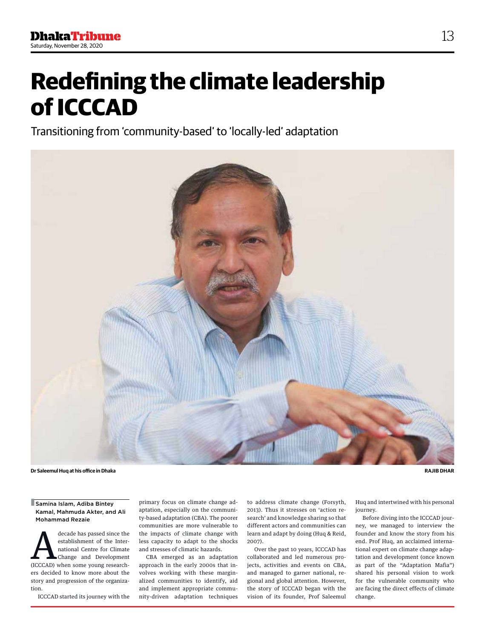## **Redefining the climate leadership of ICCCAD**

Transitioning from 'community-based' to 'locally-led' adaptation



**Dr Saleemul Huq at his office in Dhaka RAJIB DHAR**

Samina Islam, Adiba Bintey Kamal, Mahmuda Akter, and Ali Mohammad Rezaie

decade has passed since the<br>establishment of the Inter-<br>national Centre for Climate<br>Change and Development<br>(ICCCAD) when some young researchestablishment of the International Centre for Climate Change and Development (ICCCAD) when some young researchers decided to know more about the story and progression of the organization.

ICCCAD started its journey with the

primary focus on climate change adaptation, especially on the community-based adaptation (CBA). The poorer communities are more vulnerable to the impacts of climate change with less capacity to adapt to the shocks and stresses of climatic hazards.

CBA emerged as an adaptation approach in the early 2000s that involves working with these marginalized communities to identify, aid and implement appropriate community-driven adaptation techniques

to address climate change (Forsyth, 2013). Thus it stresses on 'action research' and knowledge sharing so that different actors and communities can learn and adapt by doing (Huq & Reid, 2007).

Over the past 10 years, ICCCAD has collaborated and led numerous projects, activities and events on CBA, and managed to garner national, regional and global attention. However, the story of ICCCAD began with the vision of its founder, Prof Saleemul

Huq and intertwined with his personal journey.

Before diving into the ICCCAD journey, we managed to interview the founder and know the story from his end. Prof Huq, an acclaimed international expert on climate change adaptation and development (once known as part of the "Adaptation Mafia") shared his personal vision to work for the vulnerable community who are facing the direct effects of climate change.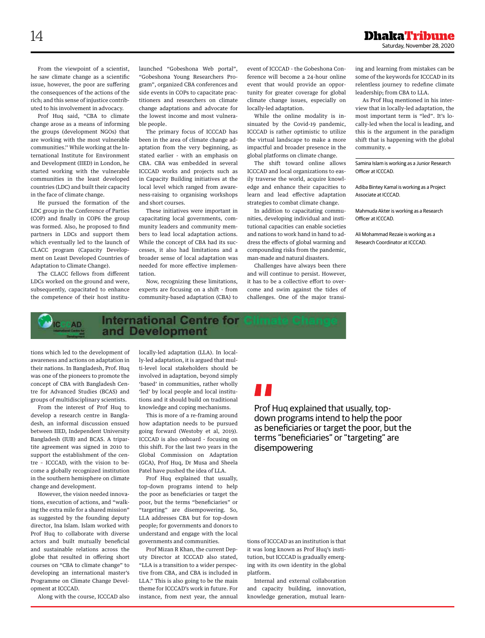From the viewpoint of a scientist, he saw climate change as a scientific issue, however, the poor are suffering the consequences of the actions of the rich; and this sense of injustice contributed to his involvement in advocacy.

Prof Huq said, "CBA to climate change arose as a means of informing the groups (development NGOs) that are working with the most vulnerable communities.'' While working at the International Institute for Environment and Development (IIED) in London, he started working with the vulnerable communities in the least developed countries (LDC) and built their capacity in the face of climate change.

He pursued the formation of the LDC group in the Conference of Parties (COP) and finally in COP6 the group was formed. Also, he proposed to find partners in LDCs and support them which eventually led to the launch of CLACC program (Capacity Development on Least Developed Countries of Adaptation to Climate Change).

The CLACC fellows from different LDCs worked on the ground and were, subsequently, capacitated to enhance the competence of their host institulaunched "Gobeshona Web portal", "Gobeshona Young Researchers Program", organized CBA conferences and side events in COPs to capacitate practitioners and researchers on climate change adaptations and advocate for the lowest income and most vulnerable people.

The primary focus of ICCCAD has been in the area of climate change adaptation from the very beginning, as stated earlier - with an emphasis on CBA. CBA was embedded in several ICCCAD works and projects such as in Capacity Building initiatives at the local level which ranged from awareness-raising to organising workshops and short courses.

These initiatives were important in capacitating local governments, community leaders and community members to lead local adaptation actions. While the concept of CBA had its successes, it also had limitations and a broader sense of local adaptation was needed for more effective implementation.

Now, recognizing these limitations, experts are focusing on a shift - from community-based adaptation (CBA) to event of ICCCAD - the Gobeshona Conference will become a 24-hour online event that would provide an opportunity for greater coverage for global climate change issues, especially on locally-led adaptation.

While the online modality is insinuated by the Covid-19 pandemic, ICCCAD is rather optimistic to utilize the virtual landscape to make a more impactful and broader presence in the global platforms on climate change.

The shift toward online allows ICCCAD and local organizations to easily traverse the world, acquire knowledge and enhance their capacities to learn and lead effective adaptation strategies to combat climate change.

In addition to capacitating communities, developing individual and institutional capacities can enable societies and nations to work hand in hand to address the effects of global warming and compounding risks from the pandemic, man-made and natural disasters.

Challenges have always been there and will continue to persist. However, it has to be a collective effort to overcome and swim against the tides of challenges. One of the major transi-

ing and learning from mistakes can be some of the keywords for ICCCAD in its relentless journey to redefine climate leadership; from CBA to LLA.

As Prof Huq mentioned in his interview that in locally-led adaptation, the most important term is "led". It's locally-led when the local is leading, and this is the argument in the paradigm shift that is happening with the global community.  $\bullet$ 

Samina Islam is working as a Junior Research Officer at ICCCAD.

Adiba Bintey Kamal is working as a Project Associate at ICCCAD.

Mahmuda Akter is working as a Research Officer at ICCCAD.

Ali Mohammad Rezaie is working as a Research Coordinator at ICCCAD.



### **International Centre for** and Development

tions which led to the development of awareness and actions on adaptation in their nations. In Bangladesh, Prof. Huq was one of the pioneers to promote the concept of CBA with Bangladesh Centre for Advanced Studies (BCAS) and groups of multidisciplinary scientists.

From the interest of Prof Huq to develop a research centre in Bangladesh, an informal discussion ensued between IIED, Independent University Bangladesh (IUB) and BCAS. A tripartite agreement was signed in 2010 to support the establishment of the centre – ICCCAD, with the vision to become a globally recognized institution in the southern hemisphere on climate change and development.

However, the vision needed innovations, execution of actions, and "walking the extra mile for a shared mission" as suggested by the founding deputy director, Ina Islam. Islam worked with Prof Huq to collaborate with diverse actors and built mutually beneficial and sustainable relations across the globe that resulted in offering short courses on "CBA to climate change" to developing an international master's Programme on Climate Change Development at ICCCAD.

Along with the course, ICCCAD also

locally-led adaptation (LLA). In locally-led adaptation, it is argued that multi-level local stakeholders should be involved in adaptation, beyond simply 'based' in communities, rather wholly 'led' by local people and local institutions and it should build on traditional knowledge and coping mechanisms.

This is more of a re-framing around how adaptation needs to be pursued going forward (Westoby et al, 2019). ICCCAD is also onboard - focusing on this shift. For the last two years in the Global Commission on Adaptation (GCA), Prof Huq, Dr Musa and Sheela Patel have pushed the idea of LLA.

Prof Huq explained that usually, top-down programs intend to help the poor as beneficiaries or target the poor, but the terms "beneficiaries" or "targeting" are disempowering. So, LLA addresses CBA but for top-down people; for governments and donors to understand and engage with the local governments and communities.

Prof Mizan R Khan, the current Deputy Director at ICCCAD also stated, "LLA is a transition to a wider perspective from CBA, and CBA is included in LLA." This is also going to be the main theme for ICCCAD's work in future. For instance, from next year, the annual

Prof Huq explained that usually, topdown programs intend to help the poor as beneficiaries or target the poor, but the terms "beneficiaries" or "targeting" are disempowering

tions of ICCCAD as an institution is that it was long known as Prof Huq's institution, but ICCCAD is gradually emerging with its own identity in the global platform.

Internal and external collaboration and capacity building, innovation, knowledge generation, mutual learn-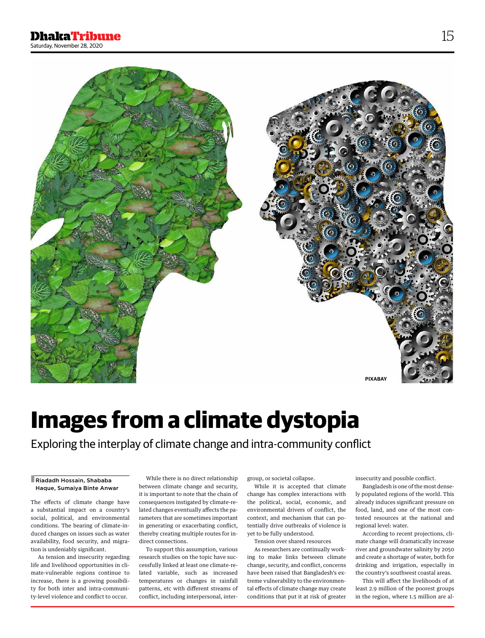

## **Images from a climate dystopia**

Exploring the interplay of climate change and intra-community conflict

### Riadadh Hossain, Shababa Haque, Sumaiya Binte Anwar

The effects of climate change have a substantial impact on a country's social, political, and environmental conditions. The bearing of climate-induced changes on issues such as water availability, food security, and migration is undeniably significant.

As tension and insecurity regarding life and livelihood opportunities in climate-vulnerable regions continue to increase, there is a growing possibility for both inter and intra-community-level violence and conflict to occur.

While there is no direct relationship between climate change and security, it is important to note that the chain of consequences instigated by climate-related changes eventually affects the parameters that are sometimes important in generating or exacerbating conflict, thereby creating multiple routes for indirect connections.

To support this assumption, various research studies on the topic have successfully linked at least one climate-related variable, such as increased temperatures or changes in rainfall patterns, etc with different streams of conflict, including interpersonal, intergroup, or societal collapse.

While it is accepted that climate change has complex interactions with the political, social, economic, and environmental drivers of conflict, the context, and mechanism that can potentially drive outbreaks of violence is yet to be fully understood.

Tension over shared resources

As researchers are continually working to make links between climate change, security, and conflict, concerns have been raised that Bangladesh's extreme vulnerability to the environmental effects of climate change may create conditions that put it at risk of greater

insecurity and possible conflict.

Bangladesh is one of the most densely populated regions of the world. This already induces significant pressure on food, land, and one of the most contested resources at the national and regional level: water.

According to recent projections, climate change will dramatically increase river and groundwater salinity by 2050 and create a shortage of water, both for drinking and irrigation, especially in the country's southwest coastal areas.

This will affect the livelihoods of at least 2.9 million of the poorest groups in the region, where 1.5 million are al-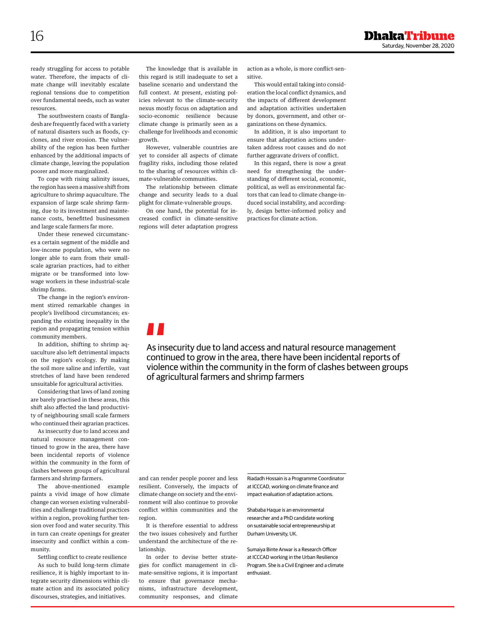ready struggling for access to potable water. Therefore, the impacts of climate change will inevitably escalate regional tensions due to competition over fundamental needs, such as water resources.

The southwestern coasts of Bangladesh are frequently faced with a variety of natural disasters such as floods, cyclones, and river erosion. The vulnerability of the region has been further enhanced by the additional impacts of climate change, leaving the population poorer and more marginalized.

To cope with rising salinity issues, the region has seen a massive shift from agriculture to shrimp aquaculture. The expansion of large scale shrimp farming, due to its investment and maintenance costs, benefitted businessmen and large scale farmers far more.

Under these renewed circumstances a certain segment of the middle and low-income population, who were no longer able to earn from their smallscale agrarian practices, had to either migrate or be transformed into lowwage workers in these industrial-scale shrimp farms.

The change in the region's environment stirred remarkable changes in people's livelihood circumstances; expanding the existing inequality in the region and propagating tension within community members.

In addition, shifting to shrimp aquaculture also left detrimental impacts on the region's ecology. By making the soil more saline and infertile, vast stretches of land have been rendered unsuitable for agricultural activities.

Considering that laws of land zoning are barely practised in these areas, this shift also affected the land productivity of neighbouring small scale farmers who continued their agrarian practices.

As insecurity due to land access and natural resource management continued to grow in the area, there have been incidental reports of violence within the community in the form of clashes between groups of agricultural farmers and shrimp farmers.

The above-mentioned example paints a vivid image of how climate change can worsen existing vulnerabilities and challenge traditional practices within a region, provoking further tension over food and water security. This in turn can create openings for greater insecurity and conflict within a community.

Settling conflict to create resilience As such to build long-term climate resilience, it is highly important to integrate security dimensions within climate action and its associated policy discourses, strategies, and initiatives.

The knowledge that is available in this regard is still inadequate to set a baseline scenario and understand the full context. At present, existing policies relevant to the climate-security nexus mostly focus on adaptation and socio-economic resilience because climate change is primarily seen as a challenge for livelihoods and economic growth.

However, vulnerable countries are yet to consider all aspects of climate fragility risks, including those related to the sharing of resources within climate-vulnerable communities.

The relationship between climate change and security leads to a dual plight for climate-vulnerable groups.

On one hand, the potential for increased conflict in climate-sensitive regions will deter adaptation progress

action as a whole, is more conflict-sensitive.

This would entail taking into consideration the local conflict dynamics, and the impacts of different development and adaptation activities undertaken by donors, government, and other organizations on these dynamics.

In addition, it is also important to ensure that adaptation actions undertaken address root causes and do not further aggravate drivers of conflict.

In this regard, there is now a great need for strengthening the understanding of different social, economic, political, as well as environmental factors that can lead to climate change-induced social instability, and accordingly, design better-informed policy and practices for climate action.

## W

As insecurity due to land access and natural resource management continued to grow in the area, there have been incidental reports of violence within the community in the form of clashes between groups of agricultural farmers and shrimp farmers

and can render people poorer and less resilient. Conversely, the impacts of climate change on society and the environment will also continue to provoke conflict within communities and the region.

It is therefore essential to address the two issues cohesively and further understand the architecture of the relationship.

In order to devise better strategies for conflict management in climate-sensitive regions, it is important to ensure that governance mechanisms, infrastructure development, community responses, and climate

Riadadh Hossain is a Programme Coordinator at ICCCAD, working on climate finance and impact evaluation of adaptation actions.

Shababa Haque is an environmental researcher and a PhD candidate working on sustainable social entrepreneurship at Durham University, UK.

Sumaiya Binte Anwar is a Research Officer at ICCCAD working in the Urban Resilience Program. She is a Civil Engineer and a climate enthusiast.